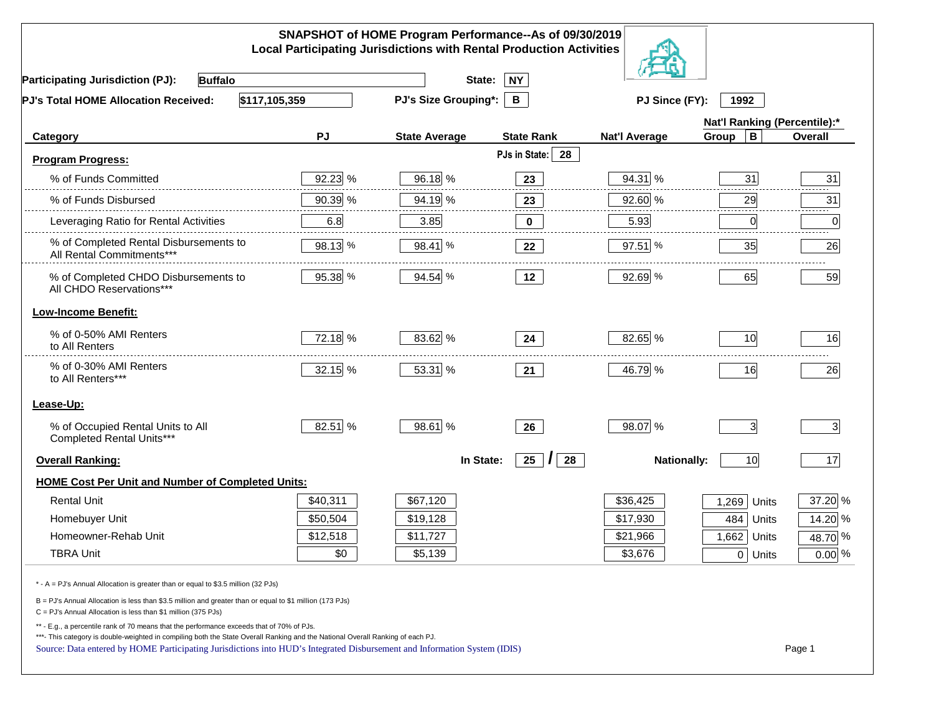| SNAPSHOT of HOME Program Performance--As of 09/30/2019<br><b>Local Participating Jurisdictions with Rental Production Activities</b>                                                                                                                                                                                                                     |          |                             |                      |                      |                              |          |
|----------------------------------------------------------------------------------------------------------------------------------------------------------------------------------------------------------------------------------------------------------------------------------------------------------------------------------------------------------|----------|-----------------------------|----------------------|----------------------|------------------------------|----------|
| <b>Buffalo</b><br><b>Participating Jurisdiction (PJ):</b>                                                                                                                                                                                                                                                                                                |          | State:                      | <b>NY</b>            |                      |                              |          |
| \$117,105,359<br>PJ's Total HOME Allocation Received:                                                                                                                                                                                                                                                                                                    |          | <b>PJ's Size Grouping*:</b> | B                    | PJ Since (FY):       | 1992                         |          |
|                                                                                                                                                                                                                                                                                                                                                          |          |                             |                      |                      | Nat'l Ranking (Percentile):* |          |
| Category                                                                                                                                                                                                                                                                                                                                                 | PJ       | <b>State Average</b>        | <b>State Rank</b>    | <b>Nat'l Average</b> | $\mathbf B$<br>Group         | Overall  |
| <b>Program Progress:</b>                                                                                                                                                                                                                                                                                                                                 |          |                             | PJs in State: 28     |                      |                              |          |
| % of Funds Committed                                                                                                                                                                                                                                                                                                                                     | 92.23 %  | 96.18 %                     | 23                   | 94.31 %              | 31                           | 31       |
| % of Funds Disbursed                                                                                                                                                                                                                                                                                                                                     | 90.39 %  | 94.19 %                     | 23                   | 92.60 %              | 29                           | 31       |
| Leveraging Ratio for Rental Activities                                                                                                                                                                                                                                                                                                                   | 6.8      | 3.85                        | 0                    | 5.93                 | 0                            | .<br>0   |
| % of Completed Rental Disbursements to<br>All Rental Commitments***                                                                                                                                                                                                                                                                                      | 98.13 %  | 98.41 %                     | 22                   | 97.51 %              | 35                           | 26       |
| % of Completed CHDO Disbursements to<br>All CHDO Reservations***                                                                                                                                                                                                                                                                                         | 95.38 %  | 94.54 %                     | 12                   | 92.69 %              | 65                           | 59       |
| <b>Low-Income Benefit:</b>                                                                                                                                                                                                                                                                                                                               |          |                             |                      |                      |                              |          |
| % of 0-50% AMI Renters<br>to All Renters                                                                                                                                                                                                                                                                                                                 | 72.18 %  | 83.62 %                     | 24                   | 82.65 %              | 10                           | 16       |
| % of 0-30% AMI Renters<br>to All Renters***                                                                                                                                                                                                                                                                                                              | 32.15 %  | 53.31 %                     | 21                   | 46.79 %              | 16                           | 26       |
| Lease-Up:                                                                                                                                                                                                                                                                                                                                                |          |                             |                      |                      |                              |          |
| % of Occupied Rental Units to All<br>Completed Rental Units***                                                                                                                                                                                                                                                                                           | 82.51 %  | 98.61 %                     | 26                   | 98.07 %              | 3 <sup>1</sup>               | 3        |
| <b>Overall Ranking:</b>                                                                                                                                                                                                                                                                                                                                  |          | In State:                   | 25<br>28<br>$\prime$ | <b>Nationally:</b>   | 10                           | 17       |
| <b>HOME Cost Per Unit and Number of Completed Units:</b>                                                                                                                                                                                                                                                                                                 |          |                             |                      |                      |                              |          |
| <b>Rental Unit</b>                                                                                                                                                                                                                                                                                                                                       | \$40,311 | \$67,120                    |                      | \$36,425             | 1,269<br>Units               | 37.20 %  |
| Homebuyer Unit                                                                                                                                                                                                                                                                                                                                           | \$50,504 | \$19,128                    |                      | \$17,930             | 484<br>Units                 | 14.20 %  |
| Homeowner-Rehab Unit                                                                                                                                                                                                                                                                                                                                     | \$12,518 | \$11,727                    |                      | \$21,966             | 1,662 Units                  | 48.70 %  |
| <b>TBRA Unit</b>                                                                                                                                                                                                                                                                                                                                         | \$0      | \$5,139                     |                      | \$3,676              | 0 Units                      | $0.00\%$ |
| * - A = PJ's Annual Allocation is greater than or equal to \$3.5 million (32 PJs)                                                                                                                                                                                                                                                                        |          |                             |                      |                      |                              |          |
| B = PJ's Annual Allocation is less than \$3.5 million and greater than or equal to \$1 million (173 PJs)<br>$C = PJ's$ Annual Allocation is less than \$1 million (375 PJs)                                                                                                                                                                              |          |                             |                      |                      |                              |          |
| ** - E.g., a percentile rank of 70 means that the performance exceeds that of 70% of PJs.<br>***- This category is double-weighted in compiling both the State Overall Ranking and the National Overall Ranking of each PJ.<br>Source: Data entered by HOME Participating Jurisdictions into HUD's Integrated Disbursement and Information System (IDIS) |          |                             |                      |                      |                              | Page 1   |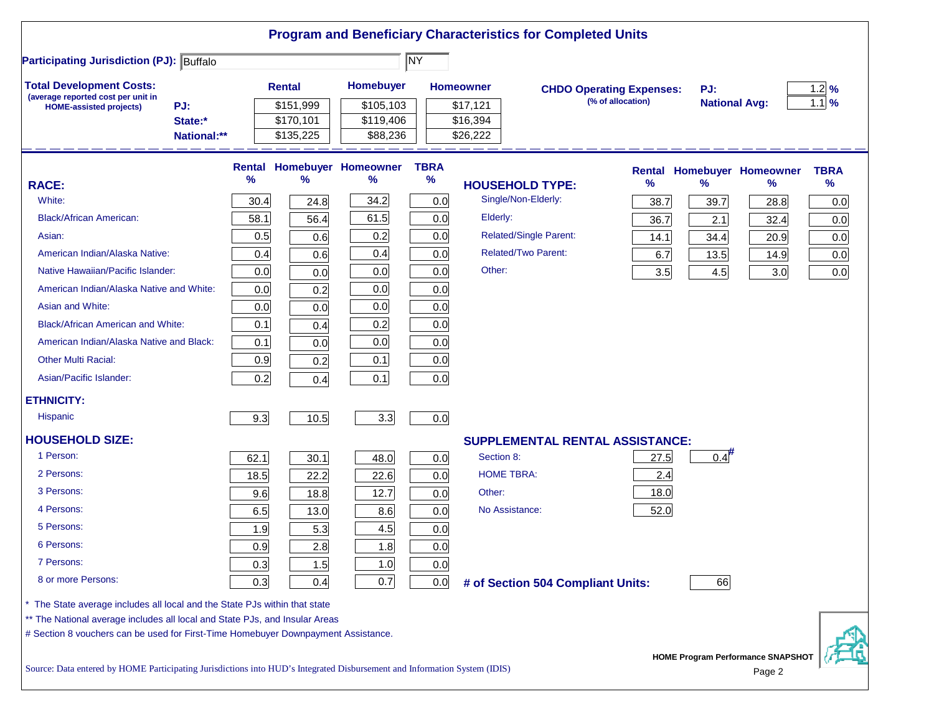|                                                                                                                           |      |               |                                   |             |                      | <b>Program and Beneficiary Characteristics for Completed Units</b> |                   |                      |                                   |             |
|---------------------------------------------------------------------------------------------------------------------------|------|---------------|-----------------------------------|-------------|----------------------|--------------------------------------------------------------------|-------------------|----------------------|-----------------------------------|-------------|
| <b>Participating Jurisdiction (PJ): Buffalo</b>                                                                           |      |               |                                   | <b>NY</b>   |                      |                                                                    |                   |                      |                                   |             |
| <b>Total Development Costs:</b><br>(average reported cost per unit in                                                     |      | <b>Rental</b> | Homebuyer                         |             | <b>Homeowner</b>     | <b>CHDO Operating Expenses:</b>                                    |                   | PJ:                  |                                   | 1.2%        |
| PJ:<br><b>HOME-assisted projects)</b>                                                                                     |      | \$151,999     | \$105,103                         |             | \$17,121             |                                                                    | (% of allocation) | <b>National Avg:</b> |                                   | $1.1$ %     |
| State:*                                                                                                                   |      | \$170,101     | \$119,406<br>\$88,236             |             | \$16,394<br>\$26,222 |                                                                    |                   |                      |                                   |             |
| National:**                                                                                                               |      | \$135,225     |                                   |             |                      |                                                                    |                   |                      |                                   |             |
|                                                                                                                           |      |               | <b>Rental Homebuyer Homeowner</b> | <b>TBRA</b> |                      |                                                                    |                   |                      | <b>Rental Homebuyer Homeowner</b> | <b>TBRA</b> |
| <b>RACE:</b>                                                                                                              | %    | %             | $\%$                              | $\%$        |                      | <b>HOUSEHOLD TYPE:</b>                                             | %                 | %                    | %                                 | $\%$        |
| White:                                                                                                                    | 30.4 | 24.8          | 34.2                              | 0.0         |                      | Single/Non-Elderly:                                                | 38.7              | 39.7                 | 28.8                              | 0.0         |
| <b>Black/African American:</b>                                                                                            | 58.1 | 56.4          | 61.5                              | 0.0         | Elderly:             |                                                                    | 36.7              | 2.1                  | 32.4                              | 0.0         |
| Asian:                                                                                                                    | 0.5  | 0.6           | 0.2                               | 0.0         |                      | Related/Single Parent:                                             | 14.1              | 34.4                 | 20.9                              | 0.0         |
| American Indian/Alaska Native:                                                                                            | 0.4  | 0.6           | 0.4                               | 0.0         |                      | <b>Related/Two Parent:</b>                                         | 6.7               | 13.5                 | 14.9                              | 0.0         |
| Native Hawaiian/Pacific Islander:                                                                                         | 0.0  | 0.0           | 0.0                               | 0.0         | Other:               |                                                                    | 3.5               | 4.5                  | 3.0                               | 0.0         |
| American Indian/Alaska Native and White:                                                                                  | 0.0  | 0.2           | 0.0                               | 0.0         |                      |                                                                    |                   |                      |                                   |             |
| Asian and White:                                                                                                          | 0.0  | 0.0           | 0.0                               | 0.0         |                      |                                                                    |                   |                      |                                   |             |
| <b>Black/African American and White:</b>                                                                                  | 0.1  | 0.4           | 0.2                               | 0.0         |                      |                                                                    |                   |                      |                                   |             |
| American Indian/Alaska Native and Black:                                                                                  | 0.1  | 0.0           | 0.0                               | 0.0         |                      |                                                                    |                   |                      |                                   |             |
| <b>Other Multi Racial:</b>                                                                                                | 0.9  | 0.2           | 0.1                               | 0.0         |                      |                                                                    |                   |                      |                                   |             |
| Asian/Pacific Islander:                                                                                                   | 0.2  | 0.4           | 0.1                               | 0.0         |                      |                                                                    |                   |                      |                                   |             |
| <b>ETHNICITY:</b>                                                                                                         |      |               |                                   |             |                      |                                                                    |                   |                      |                                   |             |
| <b>Hispanic</b>                                                                                                           | 9.3  | 10.5          | 3.3                               | 0.0         |                      |                                                                    |                   |                      |                                   |             |
| <b>HOUSEHOLD SIZE:</b>                                                                                                    |      |               |                                   |             |                      | <b>SUPPLEMENTAL RENTAL ASSISTANCE:</b>                             |                   |                      |                                   |             |
| 1 Person:                                                                                                                 | 62.1 | 30.1          | 48.0                              | 0.0         | Section 8:           |                                                                    | 27.5              | 0.4                  |                                   |             |
| 2 Persons:                                                                                                                | 18.5 | 22.2          | 22.6                              | 0.0         |                      | <b>HOME TBRA:</b>                                                  | 2.4               |                      |                                   |             |
| 3 Persons:                                                                                                                | 9.6  | 18.8          | 12.7                              | 0.0         | Other:               |                                                                    | 18.0              |                      |                                   |             |
| 4 Persons:                                                                                                                | 6.5  | 13.0          | 8.6                               | 0.0         |                      | No Assistance:                                                     | 52.0              |                      |                                   |             |
| 5 Persons:                                                                                                                | 1.9  | 5.3           | 4.5                               | 0.0         |                      |                                                                    |                   |                      |                                   |             |
| 6 Persons:                                                                                                                | 0.9  | 2.8           | 1.8                               | 0.0         |                      |                                                                    |                   |                      |                                   |             |
| 7 Persons:                                                                                                                | 0.3  | 1.5           | 1.0                               | 0.0         |                      |                                                                    |                   |                      |                                   |             |
| 8 or more Persons:                                                                                                        | 0.3  | 0.4           | 0.7                               | 0.0         |                      | # of Section 504 Compliant Units:                                  |                   | 66                   |                                   |             |
| * The State average includes all local and the State PJs within that state                                                |      |               |                                   |             |                      |                                                                    |                   |                      |                                   |             |
| ** The National average includes all local and State PJs, and Insular Areas                                               |      |               |                                   |             |                      |                                                                    |                   |                      |                                   |             |
| # Section 8 vouchers can be used for First-Time Homebuyer Downpayment Assistance.                                         |      |               |                                   |             |                      |                                                                    |                   |                      |                                   |             |
| Source: Data entered by HOME Participating Jurisdictions into HUD's Integrated Disbursement and Information System (IDIS) |      |               |                                   |             |                      |                                                                    |                   |                      | HOME Program Performance SNAPSHOT |             |
|                                                                                                                           |      |               |                                   |             |                      |                                                                    |                   |                      | Page 2                            |             |